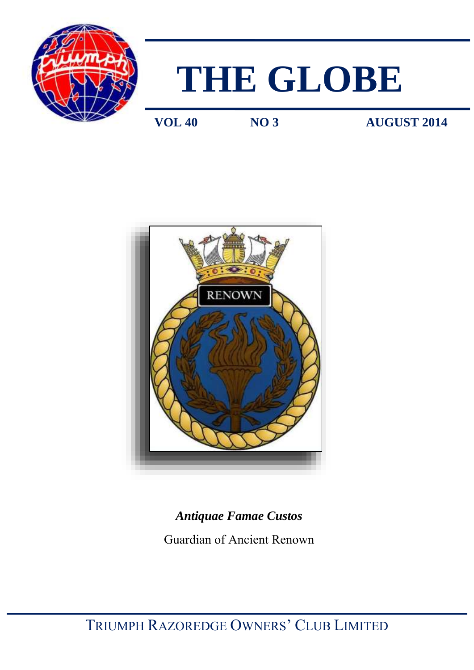



**VOL 40 NO 3 AUGUST 2014** 



# *Antiquae Famae Custos*  Guardian of Ancient Renown

TRIUMPH RAZOREDGE OWNERS' CLUB LIMITED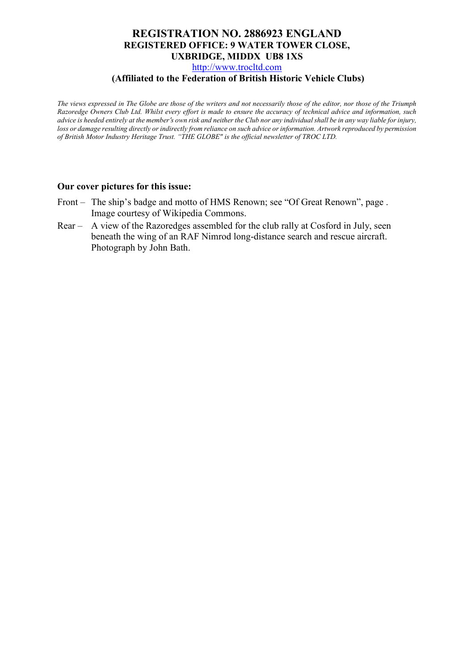### **REGISTRATION NO. 2886923 ENGLAND REGISTERED OFFICE: 9 WATER TOWER CLOSE, UXBRIDGE, MIDDX UB8 1XS**

[http://www.trocltd.com](http://www.trocltd.com/)

### **(Affiliated to the Federation of British Historic Vehicle Clubs)**

*The views expressed in The Globe are those of the writers and not necessarily those of the editor, nor those of the Triumph Razoredge Owners Club Ltd. Whilst every effort is made to ensure the accuracy of technical advice and information, such advice is heeded entirely at the member*'*s own risk and neither the Club nor any individual shall be in any way liable for injury, loss or damage resulting directly or indirectly from reliance on such advice or information. Artwork reproduced by permission of British Motor Industry Heritage Trust. "THE GLOBE" is the official newsletter of TROC LTD.*

### **Our cover pictures for this issue:**

- Front The ship's badge and motto of HMS Renown; see "Of Great Renown", page. Image courtesy of Wikipedia Commons.
- Rear A view of the Razoredges assembled for the club rally at Cosford in July, seen beneath the wing of an RAF Nimrod long-distance search and rescue aircraft. Photograph by John Bath.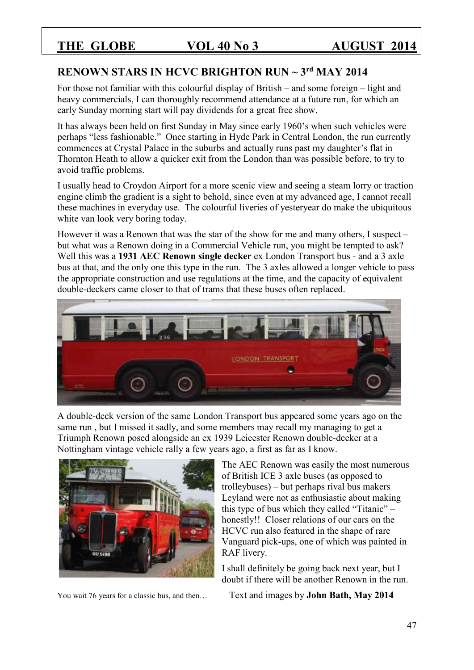## **RENOWN STARS IN HCVC BRIGHTON RUN ~ 3rd MAY 2014**

For those not familiar with this colourful display of British – and some foreign – light and heavy commercials, I can thoroughly recommend attendance at a future run, for which an early Sunday morning start will pay dividends for a great free show.

It has always been held on first Sunday in May since early 1960's when such vehicles were perhaps "less fashionable." Once starting in Hyde Park in Central London, the run currently commences at Crystal Palace in the suburbs and actually runs past my daughter's flat in Thornton Heath to allow a quicker exit from the London than was possible before, to try to avoid traffic problems.

I usually head to Croydon Airport for a more scenic view and seeing a steam lorry or traction engine climb the gradient is a sight to behold, since even at my advanced age, I cannot recall these machines in everyday use. The colourful liveries of yesteryear do make the ubiquitous white van look very boring today.

However it was a Renown that was the star of the show for me and many others, I suspect – but what was a Renown doing in a Commercial Vehicle run, you might be tempted to ask? Well this was a **1931 AEC Renown single decker** ex London Transport bus - and a 3 axle bus at that, and the only one this type in the run. The 3 axles allowed a longer vehicle to pass the appropriate construction and use regulations at the time, and the capacity of equivalent double-deckers came closer to that of trams that these buses often replaced.



A double-deck version of the same London Transport bus appeared some years ago on the same run , but I missed it sadly, and some members may recall my managing to get a Triumph Renown posed alongside an ex 1939 Leicester Renown double-decker at a Nottingham vintage vehicle rally a few years ago, a first as far as I know.



The AEC Renown was easily the most numerous of British ICE 3 axle buses (as opposed to trolleybuses) – but perhaps rival bus makers Leyland were not as enthusiastic about making this type of bus which they called "Titanic" – honestly!! Closer relations of our cars on the HCVC run also featured in the shape of rare Vanguard pick-ups, one of which was painted in RAF livery.

I shall definitely be going back next year, but I doubt if there will be another Renown in the run.

You wait 76 years for a classic bus, and then... Text and images by **John Bath, May 2014**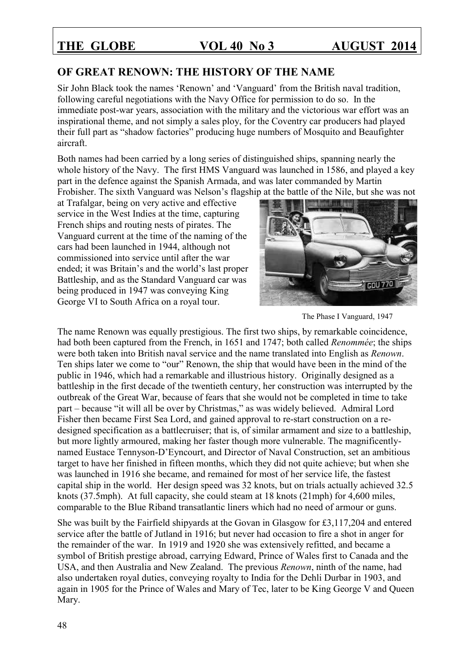### **OF GREAT RENOWN: THE HISTORY OF THE NAME**

Sir John Black took the names 'Renown' and 'Vanguard' from the British naval tradition, following careful negotiations with the Navy Office for permission to do so. In the immediate post-war years, association with the military and the victorious war effort was an inspirational theme, and not simply a sales ploy, for the Coventry car producers had played their full part as "shadow factories" producing huge numbers of Mosquito and Beaufighter aircraft.

Both names had been carried by a long series of distinguished ships, spanning nearly the whole history of the Navy. The first HMS Vanguard was launched in 1586, and played a key part in the defence against the Spanish Armada, and was later commanded by Martin Frobisher. The sixth Vanguard was Nelson's flagship at the battle of the Nile, but she was not

at Trafalgar, being on very active and effective service in the West Indies at the time, capturing French ships and routing nests of pirates. The Vanguard current at the time of the naming of the cars had been launched in 1944, although not commissioned into service until after the war ended; it was Britain's and the world's last proper Battleship, and as the Standard Vanguard car was being produced in 1947 was conveying King George VI to South Africa on a royal tour.





The name Renown was equally prestigious. The first two ships, by remarkable coincidence, had both been captured from the French, in 1651 and 1747; both called *Renommée*; the ships were both taken into British naval service and the name translated into English as *Renown*. Ten ships later we come to "our" Renown, the ship that would have been in the mind of the public in 1946, which had a remarkable and illustrious history. Originally designed as a battleship in the first decade of the twentieth century, her construction was interrupted by the outbreak of the Great War, because of fears that she would not be completed in time to take part – because "it will all be over by Christmas," as was widely believed. Admiral Lord Fisher then became First Sea Lord, and gained approval to re-start construction on a redesigned specification as a battlecruiser; that is, of similar armament and size to a battleship, but more lightly armoured, making her faster though more vulnerable. The magnificentlynamed Eustace Tennyson-D'Eyncourt, and Director of Naval Construction, set an ambitious target to have her finished in fifteen months, which they did not quite achieve; but when she was launched in 1916 she became, and remained for most of her service life, the fastest capital ship in the world. Her design speed was 32 knots, but on trials actually achieved 32.5 knots (37.5mph). At full capacity, she could steam at 18 knots (21mph) for 4,600 miles, comparable to the Blue Riband transatlantic liners which had no need of armour or guns.

She was built by the Fairfield shipyards at the Govan in Glasgow for £3,117,204 and entered service after the battle of Jutland in 1916; but never had occasion to fire a shot in anger for the remainder of the war. In 1919 and 1920 she was extensively refitted, and became a symbol of British prestige abroad, carrying Edward, Prince of Wales first to Canada and the USA, and then Australia and New Zealand. The previous *Renown*, ninth of the name, had also undertaken royal duties, conveying royalty to India for the Dehli Durbar in 1903, and again in 1905 for the Prince of Wales and Mary of Tec, later to be King George V and Queen Mary.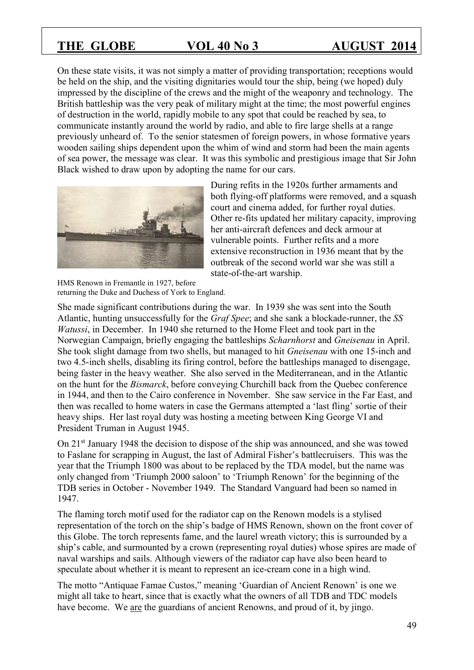On these state visits, it was not simply a matter of providing transportation; receptions would be held on the ship, and the visiting dignitaries would tour the ship, being (we hoped) duly impressed by the discipline of the crews and the might of the weaponry and technology. The British battleship was the very peak of military might at the time; the most powerful engines of destruction in the world, rapidly mobile to any spot that could be reached by sea, to communicate instantly around the world by radio, and able to fire large shells at a range previously unheard of. To the senior statesmen of foreign powers, in whose formative years wooden sailing ships dependent upon the whim of wind and storm had been the main agents of sea power, the message was clear. It was this symbolic and prestigious image that Sir John Black wished to draw upon by adopting the name for our cars.



During refits in the 1920s further armaments and both flying-off platforms were removed, and a squash court and cinema added, for further royal duties. Other re-fits updated her military capacity, improving her anti-aircraft defences and deck armour at vulnerable points. Further refits and a more extensive reconstruction in 1936 meant that by the outbreak of the second world war she was still a state-of-the-art warship.

HMS Renown in Fremantle in 1927, before returning the Duke and Duchess of York to England.

She made significant contributions during the war. In 1939 she was sent into the South Atlantic, hunting unsuccessfully for the *Graf Spee*; and she sank a blockade-runner, the *SS Watussi*, in December. In 1940 she returned to the Home Fleet and took part in the Norwegian Campaign, briefly engaging the battleships *Scharnhorst* and *Gneisenau* in April. She took slight damage from two shells, but managed to hit *Gneisenau* with one 15-inch and two 4.5-inch shells, disabling its firing control, before the battleships managed to disengage, being faster in the heavy weather. She also served in the Mediterranean, and in the Atlantic on the hunt for the *Bismarck*, before conveying Churchill back from the Quebec conference in 1944, and then to the Cairo conference in November. She saw service in the Far East, and then was recalled to home waters in case the Germans attempted a 'last fling' sortie of their heavy ships. Her last royal duty was hosting a meeting between King George VI and President Truman in August 1945.

On 21st January 1948 the decision to dispose of the ship was announced, and she was towed to Faslane for scrapping in August, the last of Admiral Fisher's battlecruisers. This was the year that the Triumph 1800 was about to be replaced by the TDA model, but the name was only changed from 'Triumph 2000 saloon' to 'Triumph Renown' for the beginning of the TDB series in October - November 1949. The Standard Vanguard had been so named in 1947.

The flaming torch motif used for the radiator cap on the Renown models is a stylised representation of the torch on the ship's badge of HMS Renown, shown on the front cover of this Globe. The torch represents fame, and the laurel wreath victory; this is surrounded by a ship's cable, and surmounted by a crown (representing royal duties) whose spires are made of naval warships and sails. Although viewers of the radiator cap have also been heard to speculate about whether it is meant to represent an ice-cream cone in a high wind.

The motto "Antiquae Famae Custos," meaning 'Guardian of Ancient Renown' is one we might all take to heart, since that is exactly what the owners of all TDB and TDC models have become. We are the guardians of ancient Renowns, and proud of it, by jingo.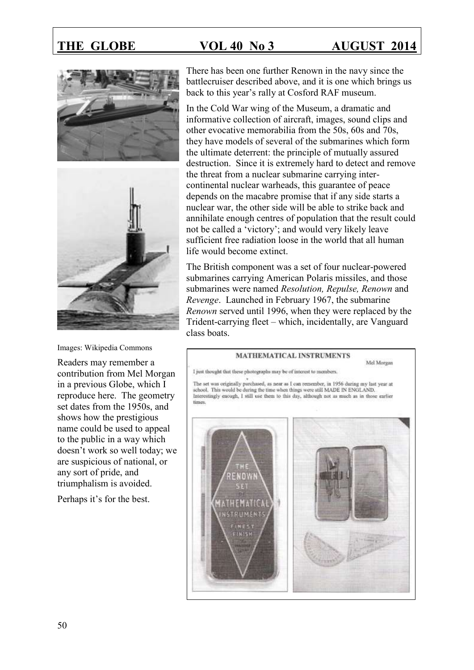



Images: Wikipedia Commons

Readers may remember a contribution from Mel Morgan in a previous Globe, which I reproduce here. The geometry set dates from the 1950s, and shows how the prestigious name could be used to appeal to the public in a way which doesn't work so well today; we are suspicious of national, or any sort of pride, and triumphalism is avoided.

Perhaps it's for the best.

There has been one further Renown in the navy since the battlecruiser described above, and it is one which brings us back to this year's rally at Cosford RAF museum.

In the Cold War wing of the Museum, a dramatic and informative collection of aircraft, images, sound clips and other evocative memorabilia from the 50s, 60s and 70s, they have models of several of the submarines which form the ultimate deterrent: the principle of mutually assured destruction. Since it is extremely hard to detect and remove the threat from a nuclear submarine carrying intercontinental nuclear warheads, this guarantee of peace depends on the macabre promise that if any side starts a nuclear war, the other side will be able to strike back and annihilate enough centres of population that the result could not be called a 'victory'; and would very likely leave sufficient free radiation loose in the world that all human life would become extinct.

The British component was a set of four nuclear-powered submarines carrying American Polaris missiles, and those submarines were named *Resolution, Repulse, Renown* and *Revenge*. Launched in February 1967, the submarine *Renown* served until 1996, when they were replaced by the Trident-carrying fleet – which, incidentally, are Vanguard class boats.

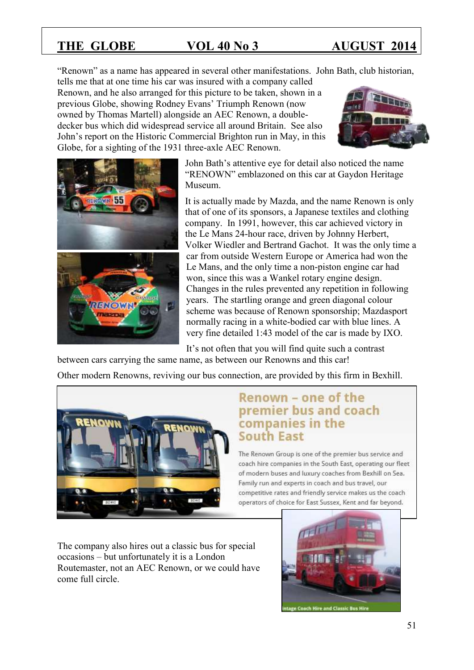"Renown" as a name has appeared in several other manifestations. John Bath, club historian,

tells me that at one time his car was insured with a company called Renown, and he also arranged for this picture to be taken, shown in a previous Globe, showing Rodney Evans' Triumph Renown (now owned by Thomas Martell) alongside an AEC Renown, a doubledecker bus which did widespread service all around Britain. See also John's report on the Historic Commercial Brighton run in May, in this Globe, for a sighting of the 1931 three-axle AEC Renown.





John Bath's attentive eye for detail also noticed the name "RENOWN" emblazoned on this car at Gaydon Heritage Museum.

It is actually made by Mazda, and the name Renown is only that of one of its sponsors, a Japanese textiles and clothing company. In 1991, however, this car achieved victory in the Le Mans 24-hour race, driven by Johnny Herbert, Volker Wiedler and Bertrand Gachot. It was the only time a car from outside Western Europe or America had won the Le Mans, and the only time a non-piston engine car had won, since this was a Wankel rotary engine design. Changes in the rules prevented any repetition in following years. The startling orange and green diagonal colour scheme was because of Renown sponsorship; Mazdasport normally racing in a white-bodied car with blue lines. A very fine detailed 1:43 model of the car is made by IXO.

It's not often that you will find quite such a contrast between cars carrying the same name, as between our Renowns and this car!

Other modern Renowns, reviving our bus connection, are provided by this firm in Bexhill.



## Renown - one of the premier bus and coach companies in the **South East**

The Renown Group is one of the premier bus service and coach hire companies in the South East, operating our fleet of modern buses and luxury coaches from Bexhill on Sea. Family run and experts in coach and bus travel, our competitive rates and friendly service makes us the coach operators of choice for East Sussex, Kent and far beyond.

The company also hires out a classic bus for special occasions – but unfortunately it is a London Routemaster, not an AEC Renown, or we could have come full circle.

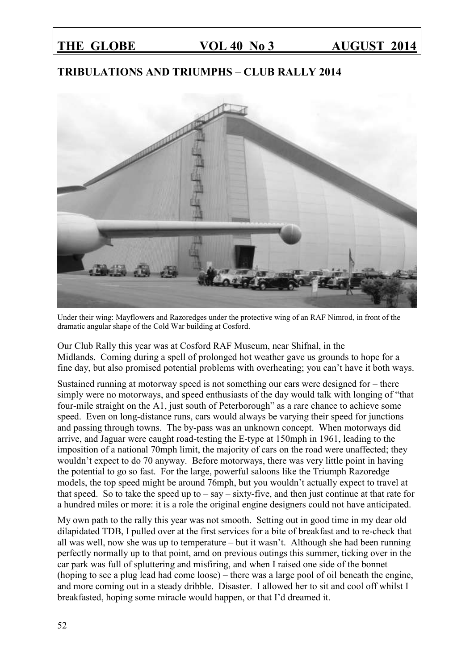## **TRIBULATIONS AND TRIUMPHS – CLUB RALLY 2014**



Under their wing: Mayflowers and Razoredges under the protective wing of an RAF Nimrod, in front of the dramatic angular shape of the Cold War building at Cosford.

Our Club Rally this year was at Cosford RAF Museum, near Shifnal, in the Midlands. Coming during a spell of prolonged hot weather gave us grounds to hope for a fine day, but also promised potential problems with overheating; you can't have it both ways.

Sustained running at motorway speed is not something our cars were designed for – there simply were no motorways, and speed enthusiasts of the day would talk with longing of "that four-mile straight on the A1, just south of Peterborough" as a rare chance to achieve some speed. Even on long-distance runs, cars would always be varying their speed for junctions and passing through towns. The by-pass was an unknown concept. When motorways did arrive, and Jaguar were caught road-testing the E-type at 150mph in 1961, leading to the imposition of a national 70mph limit, the majority of cars on the road were unaffected; they wouldn't expect to do 70 anyway. Before motorways, there was very little point in having the potential to go so fast. For the large, powerful saloons like the Triumph Razoredge models, the top speed might be around 76mph, but you wouldn't actually expect to travel at that speed. So to take the speed up to  $-\text{say}-\text{sixty-five}$ , and then just continue at that rate for a hundred miles or more: it is a role the original engine designers could not have anticipated.

My own path to the rally this year was not smooth. Setting out in good time in my dear old dilapidated TDB, I pulled over at the first services for a bite of breakfast and to re-check that all was well, now she was up to temperature – but it wasn't. Although she had been running perfectly normally up to that point, amd on previous outings this summer, ticking over in the car park was full of spluttering and misfiring, and when I raised one side of the bonnet (hoping to see a plug lead had come loose) – there was a large pool of oil beneath the engine, and more coming out in a steady dribble. Disaster. I allowed her to sit and cool off whilst I breakfasted, hoping some miracle would happen, or that I'd dreamed it.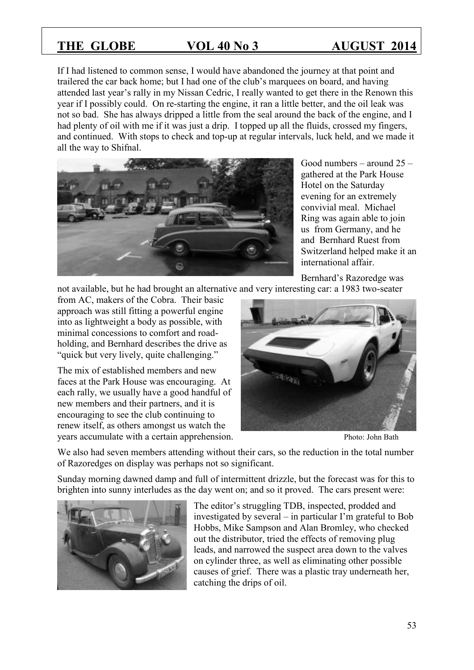If I had listened to common sense, I would have abandoned the journey at that point and trailered the car back home; but I had one of the club's marquees on board, and having attended last year's rally in my Nissan Cedric, I really wanted to get there in the Renown this year if I possibly could. On re-starting the engine, it ran a little better, and the oil leak was not so bad. She has always dripped a little from the seal around the back of the engine, and I had plenty of oil with me if it was just a drip. I topped up all the fluids, crossed my fingers, and continued. With stops to check and top-up at regular intervals, luck held, and we made it all the way to Shifnal.



Good numbers – around 25 – gathered at the Park House Hotel on the Saturday evening for an extremely convivial meal. Michael Ring was again able to join us from Germany, and he and Bernhard Ruest from Switzerland helped make it an international affair.

not available, but he had brought an alternative and very interesting car: a 1983 two-seater

from AC, makers of the Cobra. Their basic approach was still fitting a powerful engine into as lightweight a body as possible, with minimal concessions to comfort and roadholding, and Bernhard describes the drive as "quick but very lively, quite challenging."

The mix of established members and new faces at the Park House was encouraging. At each rally, we usually have a good handful of new members and their partners, and it is encouraging to see the club continuing to renew itself, as others amongst us watch the years accumulate with a certain apprehension. Photo: John Bath



We also had seven members attending without their cars, so the reduction in the total number of Razoredges on display was perhaps not so significant.

Sunday morning dawned damp and full of intermittent drizzle, but the forecast was for this to brighten into sunny interludes as the day went on; and so it proved. The cars present were:



The editor's struggling TDB, inspected, prodded and investigated by several – in particular I'm grateful to Bob Hobbs, Mike Sampson and Alan Bromley, who checked out the distributor, tried the effects of removing plug leads, and narrowed the suspect area down to the valves on cylinder three, as well as eliminating other possible causes of grief. There was a plastic tray underneath her, catching the drips of oil.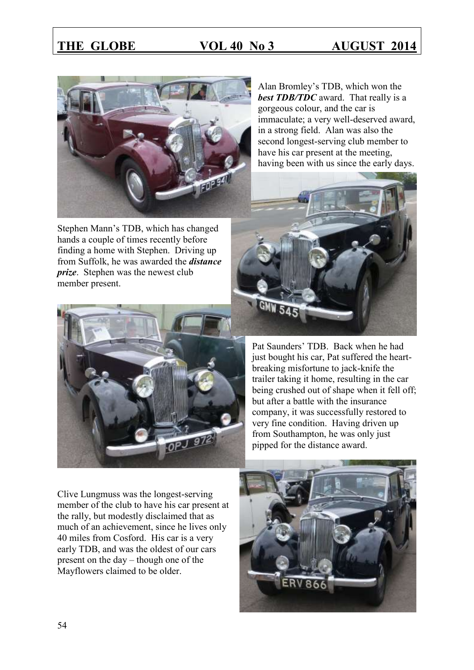

Stephen Mann's TDB, which has changed hands a couple of times recently before finding a home with Stephen. Driving up from Suffolk, he was awarded the *distance prize*. Stephen was the newest club member present.



Alan Bromley's TDB, which won the *best TDB/TDC* award. That really is a gorgeous colour, and the car is immaculate; a very well-deserved award, in a strong field. Alan was also the second longest-serving club member to have his car present at the meeting, having been with us since the early days.



Pat Saunders' TDB. Back when he had just bought his car, Pat suffered the heartbreaking misfortune to jack-knife the trailer taking it home, resulting in the car being crushed out of shape when it fell off; but after a battle with the insurance company, it was successfully restored to very fine condition. Having driven up from Southampton, he was only just pipped for the distance award.

Clive Lungmuss was the longest-serving member of the club to have his car present at the rally, but modestly disclaimed that as much of an achievement, since he lives only 40 miles from Cosford. His car is a very early TDB, and was the oldest of our cars present on the day – though one of the Mayflowers claimed to be older.

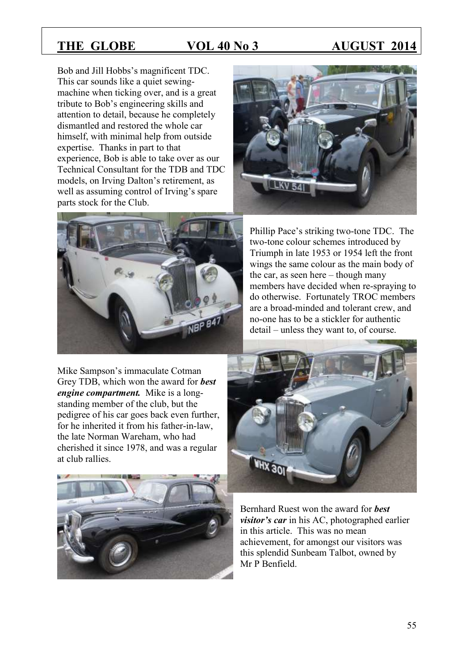Bob and Jill Hobbs's magnificent TDC. This car sounds like a quiet sewingmachine when ticking over, and is a great tribute to Bob's engineering skills and attention to detail, because he completely dismantled and restored the whole car himself, with minimal help from outside expertise. Thanks in part to that experience, Bob is able to take over as our Technical Consultant for the TDB and TDC models, on Irving Dalton's retirement, as well as assuming control of Irving's spare parts stock for the Club.



Mike Sampson's immaculate Cotman Grey TDB, which won the award for *best engine compartment.* Mike is a longstanding member of the club, but the pedigree of his car goes back even further, for he inherited it from his father-in-law, the late Norman Wareham, who had cherished it since 1978, and was a regular at club rallies.





Phillip Pace's striking two-tone TDC. The two-tone colour schemes introduced by Triumph in late 1953 or 1954 left the front wings the same colour as the main body of the car, as seen here – though many members have decided when re-spraying to do otherwise. Fortunately TROC members are a broad-minded and tolerant crew, and no-one has to be a stickler for authentic detail – unless they want to, of course.



Bernhard Ruest won the award for *best visitor's car* in his AC, photographed earlier in this article. This was no mean achievement, for amongst our visitors was this splendid Sunbeam Talbot, owned by Mr P Benfield.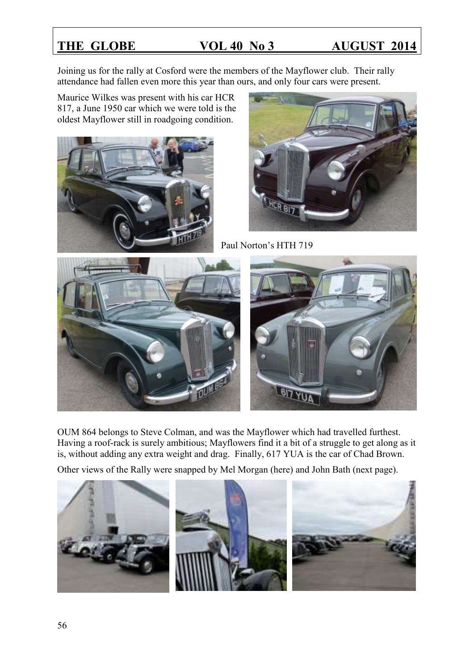Joining us for the rally at Cosford were the members of the Mayflower club. Their rally attendance had fallen even more this year than ours, and only four cars were present.

Maurice Wilkes was present with his car HCR 817, a June 1950 car which we were told is the oldest Mayflower still in roadgoing condition.





Paul Norton's HTH 719



OUM 864 belongs to Steve Colman, and was the Mayflower which had travelled furthest. Having a roof-rack is surely ambitious; Mayflowers find it a bit of a struggle to get along as it is, without adding any extra weight and drag. Finally, 617 YUA is the car of Chad Brown.

Other views of the Rally were snapped by Mel Morgan (here) and John Bath (next page).

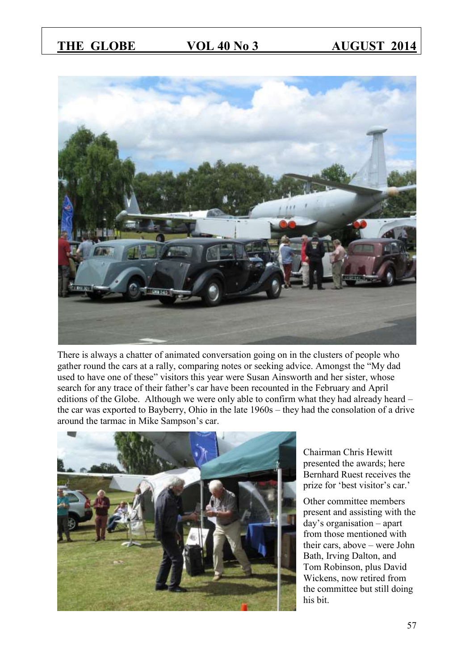

There is always a chatter of animated conversation going on in the clusters of people who gather round the cars at a rally, comparing notes or seeking advice. Amongst the "My dad used to have one of these" visitors this year were Susan Ainsworth and her sister, whose search for any trace of their father's car have been recounted in the February and April editions of the Globe. Although we were only able to confirm what they had already heard – the car was exported to Bayberry, Ohio in the late 1960s – they had the consolation of a drive around the tarmac in Mike Sampson's car.



Chairman Chris Hewitt presented the awards; here Bernhard Ruest receives the prize for 'best visitor's car.'

Other committee members present and assisting with the day's organisation – apart from those mentioned with their cars, above – were John Bath, Irving Dalton, and Tom Robinson, plus David Wickens, now retired from the committee but still doing his bit.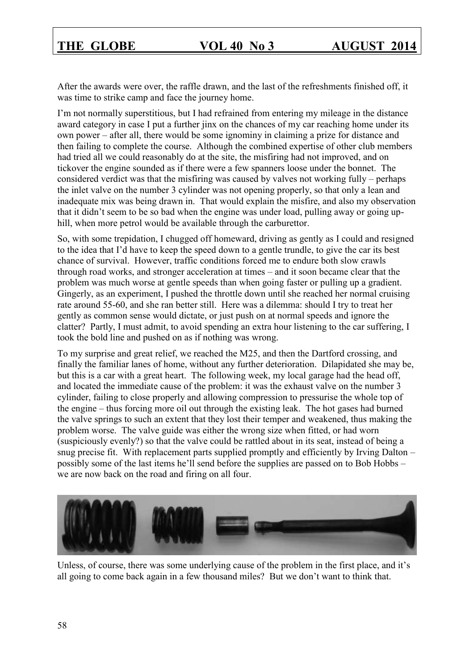After the awards were over, the raffle drawn, and the last of the refreshments finished off, it was time to strike camp and face the journey home.

I'm not normally superstitious, but I had refrained from entering my mileage in the distance award category in case I put a further jinx on the chances of my car reaching home under its own power – after all, there would be some ignominy in claiming a prize for distance and then failing to complete the course. Although the combined expertise of other club members had tried all we could reasonably do at the site, the misfiring had not improved, and on tickover the engine sounded as if there were a few spanners loose under the bonnet. The considered verdict was that the misfiring was caused by valves not working fully – perhaps the inlet valve on the number 3 cylinder was not opening properly, so that only a lean and inadequate mix was being drawn in. That would explain the misfire, and also my observation that it didn't seem to be so bad when the engine was under load, pulling away or going uphill, when more petrol would be available through the carburettor.

So, with some trepidation, I chugged off homeward, driving as gently as I could and resigned to the idea that I'd have to keep the speed down to a gentle trundle, to give the car its best chance of survival. However, traffic conditions forced me to endure both slow crawls through road works, and stronger acceleration at times – and it soon became clear that the problem was much worse at gentle speeds than when going faster or pulling up a gradient. Gingerly, as an experiment, I pushed the throttle down until she reached her normal cruising rate around 55-60, and she ran better still. Here was a dilemma: should I try to treat her gently as common sense would dictate, or just push on at normal speeds and ignore the clatter? Partly, I must admit, to avoid spending an extra hour listening to the car suffering, I took the bold line and pushed on as if nothing was wrong.

To my surprise and great relief, we reached the M25, and then the Dartford crossing, and finally the familiar lanes of home, without any further deterioration. Dilapidated she may be, but this is a car with a great heart. The following week, my local garage had the head off, and located the immediate cause of the problem: it was the exhaust valve on the number 3 cylinder, failing to close properly and allowing compression to pressurise the whole top of the engine – thus forcing more oil out through the existing leak. The hot gases had burned the valve springs to such an extent that they lost their temper and weakened, thus making the problem worse. The valve guide was either the wrong size when fitted, or had worn (suspiciously evenly?) so that the valve could be rattled about in its seat, instead of being a snug precise fit. With replacement parts supplied promptly and efficiently by Irving Dalton – possibly some of the last items he'll send before the supplies are passed on to Bob Hobbs – we are now back on the road and firing on all four.



Unless, of course, there was some underlying cause of the problem in the first place, and it's all going to come back again in a few thousand miles? But we don't want to think that.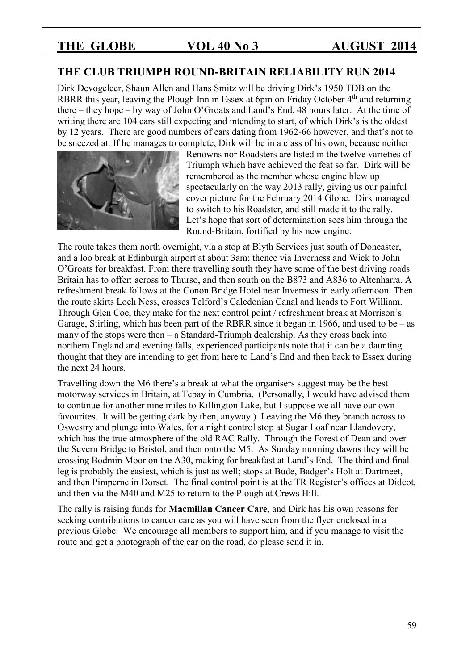### **THE CLUB TRIUMPH ROUND-BRITAIN RELIABILITY RUN 2014**

Dirk Devogeleer, Shaun Allen and Hans Smitz will be driving Dirk's 1950 TDB on the RBRR this year, leaving the Plough Inn in Essex at 6pm on Friday October 4<sup>th</sup> and returning there – they hope – by way of John O'Groats and Land's End, 48 hours later. At the time of writing there are 104 cars still expecting and intending to start, of which Dirk's is the oldest by 12 years. There are good numbers of cars dating from 1962-66 however, and that's not to be sneezed at. If he manages to complete, Dirk will be in a class of his own, because neither



Renowns nor Roadsters are listed in the twelve varieties of Triumph which have achieved the feat so far. Dirk will be remembered as the member whose engine blew up spectacularly on the way 2013 rally, giving us our painful cover picture for the February 2014 Globe. Dirk managed to switch to his Roadster, and still made it to the rally. Let's hope that sort of determination sees him through the Round-Britain, fortified by his new engine.

The route takes them north overnight, via a stop at Blyth Services just south of Doncaster, and a loo break at Edinburgh airport at about 3am; thence via Inverness and Wick to John O'Groats for breakfast. From there travelling south they have some of the best driving roads Britain has to offer: across to Thurso, and then south on the B873 and A836 to Altenharra. A refreshment break follows at the Conon Bridge Hotel near Inverness in early afternoon. Then the route skirts Loch Ness, crosses Telford's Caledonian Canal and heads to Fort William. Through Glen Coe, they make for the next control point / refreshment break at Morrison's Garage, Stirling, which has been part of the RBRR since it began in 1966, and used to be  $-$  as many of the stops were then – a Standard-Triumph dealership. As they cross back into northern England and evening falls, experienced participants note that it can be a daunting thought that they are intending to get from here to Land's End and then back to Essex during the next 24 hours.

Travelling down the M6 there's a break at what the organisers suggest may be the best motorway services in Britain, at Tebay in Cumbria. (Personally, I would have advised them to continue for another nine miles to Killington Lake, but I suppose we all have our own favourites. It will be getting dark by then, anyway.) Leaving the M6 they branch across to Oswestry and plunge into Wales, for a night control stop at Sugar Loaf near Llandovery, which has the true atmosphere of the old RAC Rally. Through the Forest of Dean and over the Severn Bridge to Bristol, and then onto the M5. As Sunday morning dawns they will be crossing Bodmin Moor on the A30, making for breakfast at Land's End. The third and final leg is probably the easiest, which is just as well; stops at Bude, Badger's Holt at Dartmeet, and then Pimperne in Dorset. The final control point is at the TR Register's offices at Didcot, and then via the M40 and M25 to return to the Plough at Crews Hill.

The rally is raising funds for **Macmillan Cancer Care**, and Dirk has his own reasons for seeking contributions to cancer care as you will have seen from the flyer enclosed in a previous Globe. We encourage all members to support him, and if you manage to visit the route and get a photograph of the car on the road, do please send it in.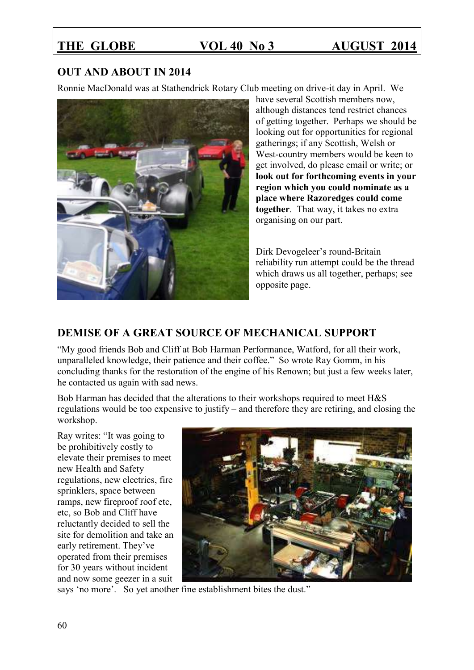## **OUT AND ABOUT IN 2014**

Ronnie MacDonald was at Stathendrick Rotary Club meeting on drive-it day in April. We



have several Scottish members now, although distances tend restrict chances of getting together. Perhaps we should be looking out for opportunities for regional gatherings; if any Scottish, Welsh or West-country members would be keen to get involved, do please email or write; or **look out for forthcoming events in your region which you could nominate as a place where Razoredges could come together**. That way, it takes no extra organising on our part.

Dirk Devogeleer's round-Britain reliability run attempt could be the thread which draws us all together, perhaps; see opposite page.

## **DEMISE OF A GREAT SOURCE OF MECHANICAL SUPPORT**

"My good friends Bob and Cliff at Bob Harman Performance, Watford, for all their work, unparalleled knowledge, their patience and their coffee." So wrote Ray Gomm, in his concluding thanks for the restoration of the engine of his Renown; but just a few weeks later, he contacted us again with sad news.

Bob Harman has decided that the alterations to their workshops required to meet H&S regulations would be too expensive to justify – and therefore they are retiring, and closing the workshop.

Ray writes: "It was going to be prohibitively costly to elevate their premises to meet new Health and Safety regulations, new electrics, fire sprinklers, space between ramps, new fireproof roof etc, etc, so Bob and Cliff have reluctantly decided to sell the site for demolition and take an early retirement. They've operated from their premises for 30 years without incident and now some geezer in a suit



says 'no more'. So yet another fine establishment bites the dust."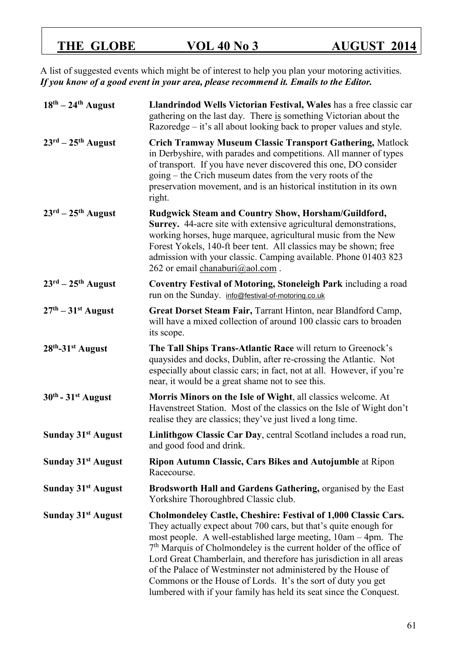A list of suggested events which might be of interest to help you plan your motoring activities. *If you know of a good event in your area, please recommend it. Emails to the Editor.* 

| $18th - 24th$ August                     | Llandrindod Wells Victorian Festival, Wales has a free classic car<br>gathering on the last day. There is something Victorian about the<br>Razoredge – it's all about looking back to proper values and style.                                                                                                                                                                                                                                                                                                                                                    |  |
|------------------------------------------|-------------------------------------------------------------------------------------------------------------------------------------------------------------------------------------------------------------------------------------------------------------------------------------------------------------------------------------------------------------------------------------------------------------------------------------------------------------------------------------------------------------------------------------------------------------------|--|
| $23^{\text{rd}} - 25^{\text{th}}$ August | <b>Crich Tramway Museum Classic Transport Gathering, Matlock</b><br>in Derbyshire, with parades and competitions. All manner of types<br>of transport. If you have never discovered this one, DO consider<br>going – the Crich museum dates from the very roots of the<br>preservation movement, and is an historical institution in its own<br>right.                                                                                                                                                                                                            |  |
| $23^{\text{rd}} - 25^{\text{th}}$ August | Rudgwick Steam and Country Show, Horsham/Guildford,<br>Surrey. 44-acre site with extensive agricultural demonstrations,<br>working horses, huge marquee, agricultural music from the New<br>Forest Yokels, 140-ft beer tent. All classics may be shown; free<br>admission with your classic. Camping available. Phone 01403 823<br>262 or email chanaburi@aol.com.                                                                                                                                                                                                |  |
| $23^{\text{rd}} - 25^{\text{th}}$ August | Coventry Festival of Motoring, Stoneleigh Park including a road<br>run on the Sunday. info@festival-of-motoring.co.uk                                                                                                                                                                                                                                                                                                                                                                                                                                             |  |
| $27th - 31st$ August                     | Great Dorset Steam Fair, Tarrant Hinton, near Blandford Camp,<br>will have a mixed collection of around 100 classic cars to broaden<br>its scope.                                                                                                                                                                                                                                                                                                                                                                                                                 |  |
| 28th-31st August                         | The Tall Ships Trans-Atlantic Race will return to Greenock's<br>quaysides and docks, Dublin, after re-crossing the Atlantic. Not<br>especially about classic cars; in fact, not at all. However, if you're<br>near, it would be a great shame not to see this.                                                                                                                                                                                                                                                                                                    |  |
| $30th - 31st$ August                     | Morris Minors on the Isle of Wight, all classics welcome. At<br>Havenstreet Station. Most of the classics on the Isle of Wight don't<br>realise they are classics; they've just lived a long time.                                                                                                                                                                                                                                                                                                                                                                |  |
| Sunday 31 <sup>st</sup> August           | Linlithgow Classic Car Day, central Scotland includes a road run,<br>and good food and drink.                                                                                                                                                                                                                                                                                                                                                                                                                                                                     |  |
| Sunday 31 <sup>st</sup> August           | Ripon Autumn Classic, Cars Bikes and Autojumble at Ripon<br>Racecourse.                                                                                                                                                                                                                                                                                                                                                                                                                                                                                           |  |
| Sunday 31 <sup>st</sup> August           | Brodsworth Hall and Gardens Gathering, organised by the East<br>Yorkshire Thoroughbred Classic club.                                                                                                                                                                                                                                                                                                                                                                                                                                                              |  |
| Sunday 31 <sup>st</sup> August           | <b>Cholmondeley Castle, Cheshire: Festival of 1,000 Classic Cars.</b><br>They actually expect about 700 cars, but that's quite enough for<br>most people. A well-established large meeting, 10am – 4pm. The<br>$7th$ Marquis of Cholmondeley is the current holder of the office of<br>Lord Great Chamberlain, and therefore has jurisdiction in all areas<br>of the Palace of Westminster not administered by the House of<br>Commons or the House of Lords. It's the sort of duty you get<br>lumbered with if your family has held its seat since the Conquest. |  |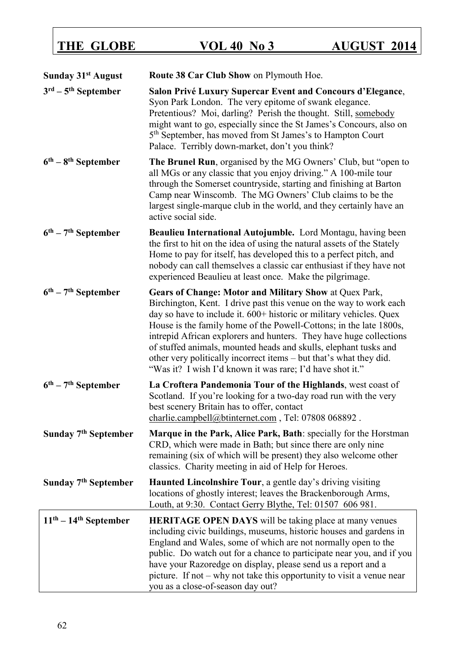| <b>Sunday 31st August</b>                 | Route 38 Car Club Show on Plymouth Hoe.                                                                                                                                                                                                                                                                                                                                                                                                                                                                                                                |  |
|-------------------------------------------|--------------------------------------------------------------------------------------------------------------------------------------------------------------------------------------------------------------------------------------------------------------------------------------------------------------------------------------------------------------------------------------------------------------------------------------------------------------------------------------------------------------------------------------------------------|--|
| $3^{\text{rd}} - 5^{\text{th}}$ September | Salon Privé Luxury Supercar Event and Concours d'Elegance,<br>Syon Park London. The very epitome of swank elegance.<br>Pretentious? Moi, darling? Perish the thought. Still, somebody<br>might want to go, especially since the St James's Concours, also on<br>5 <sup>th</sup> September, has moved from St James's to Hampton Court<br>Palace. Terribly down-market, don't you think?                                                                                                                                                                |  |
| $6th - 8th$ September                     | The Brunel Run, organised by the MG Owners' Club, but "open to<br>all MGs or any classic that you enjoy driving." A 100-mile tour<br>through the Somerset countryside, starting and finishing at Barton<br>Camp near Winscomb. The MG Owners' Club claims to be the<br>largest single-marque club in the world, and they certainly have an<br>active social side.                                                                                                                                                                                      |  |
| $6th - 7th$ September                     | Beaulieu International Autojumble. Lord Montagu, having been<br>the first to hit on the idea of using the natural assets of the Stately<br>Home to pay for itself, has developed this to a perfect pitch, and<br>nobody can call themselves a classic car enthusiast if they have not<br>experienced Beaulieu at least once. Make the pilgrimage.                                                                                                                                                                                                      |  |
| $6^{\text{th}} - 7^{\text{th}}$ September | Gears of Change: Motor and Military Show at Quex Park,<br>Birchington, Kent. I drive past this venue on the way to work each<br>day so have to include it. 600+ historic or military vehicles. Quex<br>House is the family home of the Powell-Cottons; in the late 1800s,<br>intrepid African explorers and hunters. They have huge collections<br>of stuffed animals, mounted heads and skulls, elephant tusks and<br>other very politically incorrect items – but that's what they did.<br>"Was it? I wish I'd known it was rare; I'd have shot it." |  |
| $6th - 7th September$                     | La Croftera Pandemonia Tour of the Highlands, west coast of<br>Scotland. If you're looking for a two-day road run with the very<br>best scenery Britain has to offer, contact<br>charlie.campbell@btinternet.com, Tel: 07808 068892.                                                                                                                                                                                                                                                                                                                   |  |
| Sunday 7 <sup>th</sup> September          | Marque in the Park, Alice Park, Bath: specially for the Horstman<br>CRD, which were made in Bath; but since there are only nine<br>remaining (six of which will be present) they also welcome other<br>classics. Charity meeting in aid of Help for Heroes.                                                                                                                                                                                                                                                                                            |  |
| Sunday 7 <sup>th</sup> September          | <b>Haunted Lincolnshire Tour</b> , a gentle day's driving visiting<br>locations of ghostly interest; leaves the Brackenborough Arms,<br>Louth, at 9:30. Contact Gerry Blythe, Tel: 01507 606 981.                                                                                                                                                                                                                                                                                                                                                      |  |
| $11th - 14th$ September                   | <b>HERITAGE OPEN DAYS</b> will be taking place at many venues<br>including civic buildings, museums, historic houses and gardens in<br>England and Wales, some of which are not normally open to the<br>public. Do watch out for a chance to participate near you, and if you<br>have your Razoredge on display, please send us a report and a<br>picture. If not $-$ why not take this opportunity to visit a venue near<br>you as a close-of-season day out?                                                                                         |  |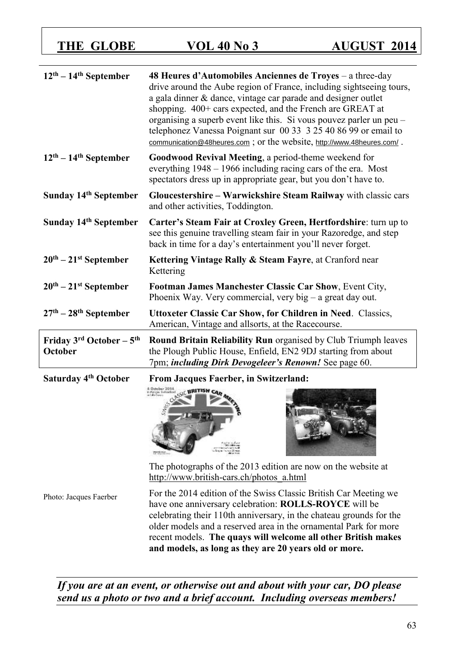| $12th - 14th$ September                       | 48 Heures d'Automobiles Anciennes de Troyes – a three-day<br>drive around the Aube region of France, including sightseeing tours,<br>a gala dinner & dance, vintage car parade and designer outlet<br>shopping. 400+ cars expected, and the French are GREAT at<br>organising a superb event like this. Si vous pouvez parler un peu –<br>telephonez Vanessa Poignant sur 00 33 3 25 40 86 99 or email to<br>communication@48heures.com; or the website, http://www.48heures.com/. |  |  |
|-----------------------------------------------|------------------------------------------------------------------------------------------------------------------------------------------------------------------------------------------------------------------------------------------------------------------------------------------------------------------------------------------------------------------------------------------------------------------------------------------------------------------------------------|--|--|
| $12th - 14th$ September                       | Goodwood Revival Meeting, a period-theme weekend for<br>everything 1948 – 1966 including racing cars of the era. Most<br>spectators dress up in appropriate gear, but you don't have to.                                                                                                                                                                                                                                                                                           |  |  |
| Sunday 14 <sup>th</sup> September             | Gloucestershire – Warwickshire Steam Railway with classic cars<br>and other activities, Toddington.                                                                                                                                                                                                                                                                                                                                                                                |  |  |
| Sunday 14 <sup>th</sup> September             | Carter's Steam Fair at Croxley Green, Hertfordshire: turn up to<br>see this genuine travelling steam fair in your Razoredge, and step<br>back in time for a day's entertainment you'll never forget.                                                                                                                                                                                                                                                                               |  |  |
| $20th - 21st$ September                       | Kettering Vintage Rally & Steam Fayre, at Cranford near<br>Kettering                                                                                                                                                                                                                                                                                                                                                                                                               |  |  |
| $20th - 21st$ September                       | Footman James Manchester Classic Car Show, Event City,<br>Phoenix Way. Very commercial, very big $-$ a great day out.                                                                                                                                                                                                                                                                                                                                                              |  |  |
| $27th - 28th$ September                       | <b>Uttoxeter Classic Car Show, for Children in Need. Classics,</b><br>American, Vintage and allsorts, at the Racecourse.                                                                                                                                                                                                                                                                                                                                                           |  |  |
| Friday $3^{rd}$ October - $5^{th}$<br>October | Round Britain Reliability Run organised by Club Triumph leaves<br>the Plough Public House, Enfield, EN2 9DJ starting from about<br>7pm; including Dirk Devogeleer's Renown! See page 60.                                                                                                                                                                                                                                                                                           |  |  |
| Saturday 4 <sup>th</sup> October              | <b>From Jacques Faerber, in Switzerland:</b><br><b>GIRLTISH CAR</b><br>The photographs of the 2013 edition are now on the website at<br>http://www.british-cars.ch/photos_a.html                                                                                                                                                                                                                                                                                                   |  |  |
| Photo: Jacques Faerber                        | For the 2014 edition of the Swiss Classic British Car Meeting we<br>have one anniversary celebration: <b>ROLLS-ROYCE</b> will be<br>celebrating their 110th anniversary, in the chateau grounds for the<br>older models and a reserved area in the ornamental Park for more                                                                                                                                                                                                        |  |  |

*If you are at an event, or otherwise out and about with your car, DO please send us a photo or two and a brief account. Including overseas members!*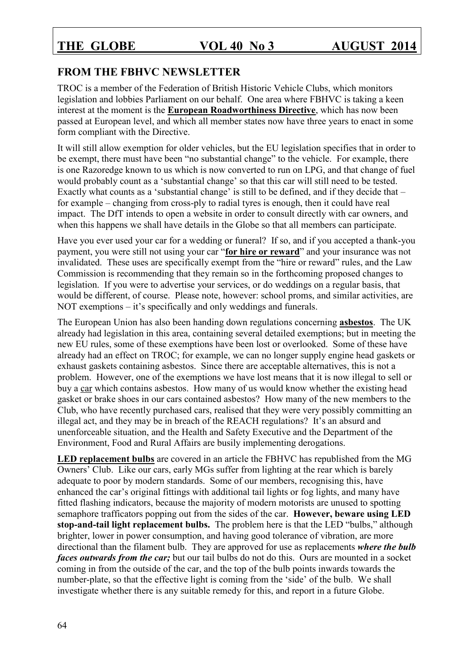## **FROM THE FBHVC NEWSLETTER**

TROC is a member of the Federation of British Historic Vehicle Clubs, which monitors legislation and lobbies Parliament on our behalf. One area where FBHVC is taking a keen interest at the moment is the **European Roadworthiness Directive**, which has now been passed at European level, and which all member states now have three years to enact in some form compliant with the Directive.

It will still allow exemption for older vehicles, but the EU legislation specifies that in order to be exempt, there must have been "no substantial change" to the vehicle. For example, there is one Razoredge known to us which is now converted to run on LPG, and that change of fuel would probably count as a 'substantial change' so that this car will still need to be tested. Exactly what counts as a 'substantial change' is still to be defined, and if they decide that – for example – changing from cross-ply to radial tyres is enough, then it could have real impact. The DfT intends to open a website in order to consult directly with car owners, and when this happens we shall have details in the Globe so that all members can participate.

Have you ever used your car for a wedding or funeral? If so, and if you accepted a thank-you payment, you were still not using your car "**for hire or reward**" and your insurance was not invalidated. These uses are specifically exempt from the "hire or reward" rules, and the Law Commission is recommending that they remain so in the forthcoming proposed changes to legislation. If you were to advertise your services, or do weddings on a regular basis, that would be different, of course. Please note, however: school proms, and similar activities, are NOT exemptions – it's specifically and only weddings and funerals.

The European Union has also been handing down regulations concerning **asbestos**. The UK already had legislation in this area, containing several detailed exemptions; but in meeting the new EU rules, some of these exemptions have been lost or overlooked. Some of these have already had an effect on TROC; for example, we can no longer supply engine head gaskets or exhaust gaskets containing asbestos. Since there are acceptable alternatives, this is not a problem. However, one of the exemptions we have lost means that it is now illegal to sell or buy a car which contains asbestos. How many of us would know whether the existing head gasket or brake shoes in our cars contained asbestos? How many of the new members to the Club, who have recently purchased cars, realised that they were very possibly committing an illegal act, and they may be in breach of the REACH regulations? It's an absurd and unenforceable situation, and the Health and Safety Executive and the Department of the Environment, Food and Rural Affairs are busily implementing derogations.

**LED replacement bulbs** are covered in an article the FBHVC has republished from the MG Owners' Club. Like our cars, early MGs suffer from lighting at the rear which is barely adequate to poor by modern standards. Some of our members, recognising this, have enhanced the car's original fittings with additional tail lights or fog lights, and many have fitted flashing indicators, because the majority of modern motorists are unused to spotting semaphore trafficators popping out from the sides of the car. **However, beware using LED stop-and-tail light replacement bulbs.** The problem here is that the LED "bulbs," although brighter, lower in power consumption, and having good tolerance of vibration, are more directional than the filament bulb. They are approved for use as replacements *where the bulb faces outwards from the car;* but our tail bulbs do not do this. Ours are mounted in a socket coming in from the outside of the car, and the top of the bulb points inwards towards the number-plate, so that the effective light is coming from the 'side' of the bulb. We shall investigate whether there is any suitable remedy for this, and report in a future Globe.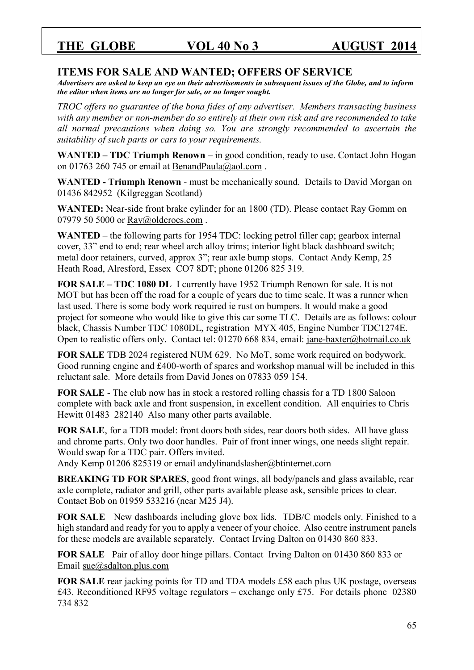### **ITEMS FOR SALE AND WANTED; OFFERS OF SERVICE**

*Advertisers are asked to keep an eye on their advertisements in subsequent issues of the Globe, and to inform the editor when items are no longer for sale, or no longer sought.* 

*TROC offers no guarantee of the bona fides of any advertiser. Members transacting business with any member or non-member do so entirely at their own risk and are recommended to take all normal precautions when doing so. You are strongly recommended to ascertain the suitability of such parts or cars to your requirements.* 

**WANTED – TDC Triumph Renown** – in good condition, ready to use. Contact John Hogan on 01763 260 745 or email at BenandPaula@aol.com.

**WANTED - Triumph Renown** - must be mechanically sound. Details to David Morgan on 01436 842952 (Kilgreggan Scotland)

**WANTED:** Near-side front brake cylinder for an 1800 (TD). Please contact Ray Gomm on 07979 50 5000 or Ray@oldcrocs.com.

**WANTED** – the following parts for 1954 TDC: locking petrol filler cap; gearbox internal cover, 33" end to end; rear wheel arch alloy trims; interior light black dashboard switch; metal door retainers, curved, approx 3"; rear axle bump stops. Contact Andy Kemp, 25 Heath Road, Alresford, Essex CO7 8DT; phone 01206 825 319.

**FOR SALE – TDC 1080 DL** I currently have 1952 Triumph Renown for sale. It is not MOT but has been off the road for a couple of years due to time scale. It was a runner when last used. There is some body work required ie rust on bumpers. It would make a good project for someone who would like to give this car some TLC. Details are as follows: colour black, Chassis Number TDC 1080DL, registration MYX 405, Engine Number TDC1274E. Open to realistic offers only. Contact tel: 01270 668 834, email: [jane-baxter@hotmail.co.uk](mailto:jane-baxter@hotmail.co.uk)

**FOR SALE** TDB 2024 registered NUM 629. No MoT, some work required on bodywork. Good running engine and £400-worth of spares and workshop manual will be included in this reluctant sale. More details from David Jones on 07833 059 154.

**FOR SALE** - The club now has in stock a restored rolling chassis for a TD 1800 Saloon complete with back axle and front suspension, in excellent condition. All enquiries to Chris Hewitt 01483 282140 Also many other parts available.

**FOR SALE**, for a TDB model: front doors both sides, rear doors both sides. All have glass and chrome parts. Only two door handles. Pair of front inner wings, one needs slight repair. Would swap for a TDC pair. Offers invited.

Andy Kemp 01206 825319 or email andylinandslasher@btinternet.com

**BREAKING TD FOR SPARES**, good front wings, all body/panels and glass available, rear axle complete, radiator and grill, other parts available please ask, sensible prices to clear. Contact Bob on 01959 533216 (near M25 J4).

**FOR SALE** New dashboards including glove box lids. TDB/C models only. Finished to a high standard and ready for you to apply a veneer of your choice. Also centre instrument panels for these models are available separately. Contact Irving Dalton on 01430 860 833.

**FOR SALE** Pair of alloy door hinge pillars. Contact Irving Dalton on 01430 860 833 or Email [sue@sdalton.plus.com](mailto:sue@sdalton.plus.com)

**FOR SALE** rear jacking points for TD and TDA models £58 each plus UK postage, overseas £43. Reconditioned RF95 voltage regulators – exchange only £75. For details phone 02380 734 832